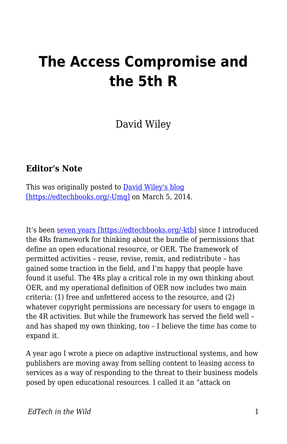# **The Access Compromise and the 5th R**

David Wiley

#### **Editor's Note**

This was originally posted to **David Wiley's blog** [\[https://edtechbooks.org/-Umq\]](https://opencontent.org/blog/archives/3221) on March 5, 2014.

It's been [seven years \[https://edtechbooks.org/-ktb\]](http://opencontent.org/blog/archives/355) since I introduced the 4Rs framework for thinking about the bundle of permissions that define an open educational resource, or OER. The framework of permitted activities – reuse, revise, remix, and redistribute – has gained some traction in the field, and I'm happy that people have found it useful. The 4Rs play a critical role in my own thinking about OER, and my operational definition of OER now includes two main criteria: (1) free and unfettered access to the resource, and (2) whatever copyright permissions are necessary for users to engage in the 4R activities. But while the framework has served the field well – and has shaped my own thinking, too – I believe the time has come to expand it.

A year ago I wrote a piece on adaptive instructional systems, and how publishers are moving away from selling content to leasing access to services as a way of responding to the threat to their business models posed by open educational resources. I called it an "attack on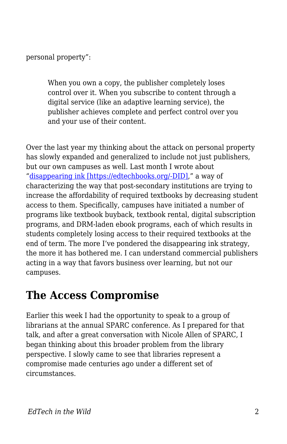personal property":

When you own a copy, the publisher completely loses control over it. When you subscribe to content through a digital service (like an adaptive learning service), the publisher achieves complete and perfect control over you and your use of their content.

Over the last year my thinking about the attack on personal property has slowly expanded and generalized to include not just publishers, but our own campuses as well. Last month I wrote about "[disappearing ink \[https://edtechbooks.org/-DID\]](http://opencontent.org/blog/archives/3192)," a way of characterizing the way that post-secondary institutions are trying to increase the affordability of required textbooks by decreasing student access to them. Specifically, campuses have initiated a number of programs like textbook buyback, textbook rental, digital subscription programs, and DRM-laden ebook programs, each of which results in students completely losing access to their required textbooks at the end of term. The more I've pondered the disappearing ink strategy, the more it has bothered me. I can understand commercial publishers acting in a way that favors business over learning, but not our campuses.

# **The Access Compromise**

Earlier this week I had the opportunity to speak to a group of librarians at the annual SPARC conference. As I prepared for that talk, and after a great conversation with Nicole Allen of SPARC, I began thinking about this broader problem from the library perspective. I slowly came to see that libraries represent a compromise made centuries ago under a different set of circumstances.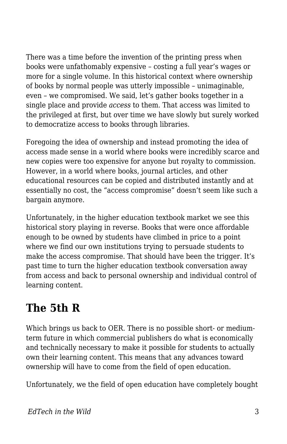There was a time before the invention of the printing press when books were unfathomably expensive – costing a full year's wages or more for a single volume. In this historical context where ownership of books by normal people was utterly impossible – unimaginable, even – we compromised. We said, let's gather books together in a single place and provide *access* to them. That access was limited to the privileged at first, but over time we have slowly but surely worked to democratize access to books through libraries.

Foregoing the idea of ownership and instead promoting the idea of access made sense in a world where books were incredibly scarce and new copies were too expensive for anyone but royalty to commission. However, in a world where books, journal articles, and other educational resources can be copied and distributed instantly and at essentially no cost, the "access compromise" doesn't seem like such a bargain anymore.

Unfortunately, in the higher education textbook market we see this historical story playing in reverse. Books that were once affordable enough to be owned by students have climbed in price to a point where we find our own institutions trying to persuade students to make the access compromise. That should have been the trigger. It's past time to turn the higher education textbook conversation away from access and back to personal ownership and individual control of learning content.

## **The 5th R**

Which brings us back to OER. There is no possible short- or mediumterm future in which commercial publishers do what is economically and technically necessary to make it possible for students to actually own their learning content. This means that any advances toward ownership will have to come from the field of open education.

Unfortunately, we the field of open education have completely bought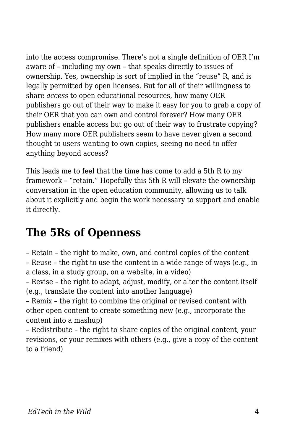into the access compromise. There's not a single definition of OER I'm aware of – including my own – that speaks directly to issues of ownership. Yes, ownership is sort of implied in the "reuse" R, and is legally permitted by open licenses. But for all of their willingness to share *access* to open educational resources, how many OER publishers go out of their way to make it easy for you to grab a copy of their OER that you can own and control forever? How many OER publishers enable access but go out of their way to frustrate copying? How many more OER publishers seem to have never given a second thought to users wanting to own copies, seeing no need to offer anything beyond access?

This leads me to feel that the time has come to add a 5th R to my framework – "retain." Hopefully this 5th R will elevate the ownership conversation in the open education community, allowing us to talk about it explicitly and begin the work necessary to support and enable it directly.

## **The 5Rs of Openness**

– Retain – the right to make, own, and control copies of the content – Reuse – the right to use the content in a wide range of ways (e.g., in

a class, in a study group, on a website, in a video)

– Revise – the right to adapt, adjust, modify, or alter the content itself (e.g., translate the content into another language)

– Remix – the right to combine the original or revised content with other open content to create something new (e.g., incorporate the content into a mashup)

– Redistribute – the right to share copies of the original content, your revisions, or your remixes with others (e.g., give a copy of the content to a friend)